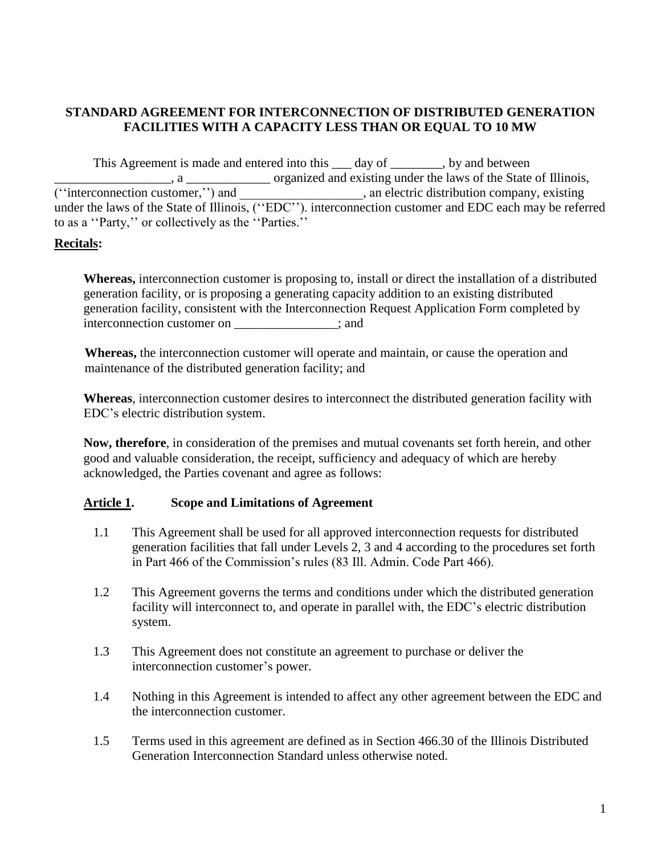## **STANDARD AGREEMENT FOR INTERCONNECTION OF DISTRIBUTED GENERATION FACILITIES WITH A CAPACITY LESS THAN OR EQUAL TO 10 MW**

This Agreement is made and entered into this \_\_\_\_ day of \_\_\_\_\_\_\_\_, by and between \_\_\_\_\_\_\_\_\_\_\_\_\_\_\_\_\_\_, a \_\_\_\_\_\_\_\_\_\_\_\_\_ organized and existing under the laws of the State of Illinois, (''interconnection customer,'') and \_\_\_\_\_\_\_\_\_\_\_\_\_\_\_\_\_\_\_, an electric distribution company, existing under the laws of the State of Illinois, ("EDC"). interconnection customer and EDC each may be referred to as a ''Party,'' or collectively as the ''Parties.''

## **Recitals:**

**Whereas,** interconnection customer is proposing to, install or direct the installation of a distributed generation facility, or is proposing a generating capacity addition to an existing distributed generation facility, consistent with the Interconnection Request Application Form completed by interconnection customer on \_\_\_\_\_\_\_\_\_\_\_\_\_\_\_\_; and

**Whereas,** the interconnection customer will operate and maintain, or cause the operation and maintenance of the distributed generation facility; and

**Whereas**, interconnection customer desires to interconnect the distributed generation facility with EDC's electric distribution system.

**Now, therefore**, in consideration of the premises and mutual covenants set forth herein, and other good and valuable consideration, the receipt, sufficiency and adequacy of which are hereby acknowledged, the Parties covenant and agree as follows:

### **Article 1. Scope and Limitations of Agreement**

- 1.1 This Agreement shall be used for all approved interconnection requests for distributed generation facilities that fall under Levels 2, 3 and 4 according to the procedures set forth in Part 466 of the Commission's rules (83 Ill. Admin. Code Part 466).
- 1.2 This Agreement governs the terms and conditions under which the distributed generation facility will interconnect to, and operate in parallel with, the EDC's electric distribution system.
- 1.3 This Agreement does not constitute an agreement to purchase or deliver the interconnection customer's power.
- 1.4 Nothing in this Agreement is intended to affect any other agreement between the EDC and the interconnection customer.
- 1.5 Terms used in this agreement are defined as in Section 466.30 of the Illinois Distributed Generation Interconnection Standard unless otherwise noted.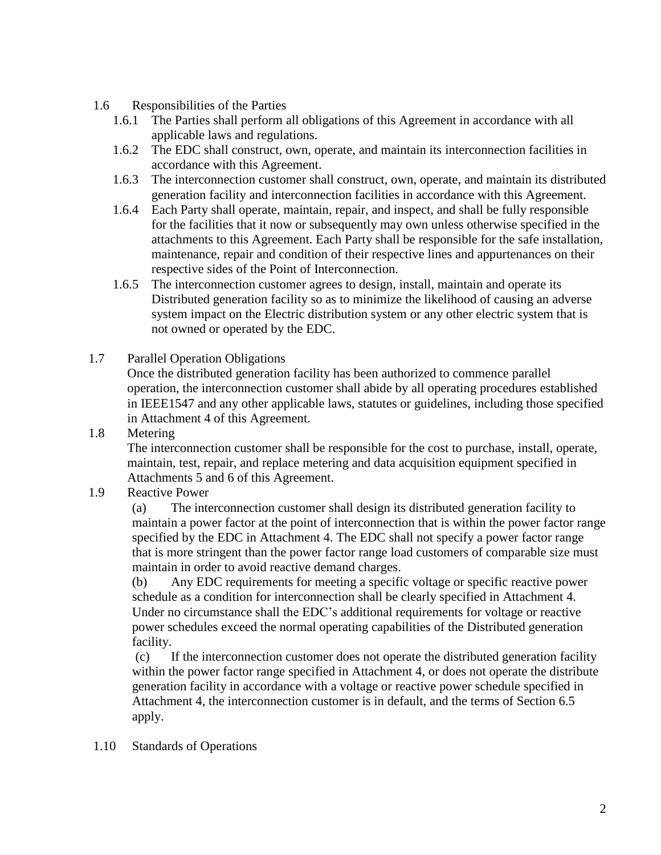- 1.6 Responsibilities of the Parties
	- 1.6.1 The Parties shall perform all obligations of this Agreement in accordance with all applicable laws and regulations.
	- 1.6.2 The EDC shall construct, own, operate, and maintain its interconnection facilities in accordance with this Agreement.
	- 1.6.3 The interconnection customer shall construct, own, operate, and maintain its distributed generation facility and interconnection facilities in accordance with this Agreement.
	- 1.6.4 Each Party shall operate, maintain, repair, and inspect, and shall be fully responsible for the facilities that it now or subsequently may own unless otherwise specified in the attachments to this Agreement. Each Party shall be responsible for the safe installation, maintenance, repair and condition of their respective lines and appurtenances on their respective sides of the Point of Interconnection.
	- 1.6.5 The interconnection customer agrees to design, install, maintain and operate its Distributed generation facility so as to minimize the likelihood of causing an adverse system impact on the Electric distribution system or any other electric system that is not owned or operated by the EDC.
- 1.7 Parallel Operation Obligations

Once the distributed generation facility has been authorized to commence parallel operation, the interconnection customer shall abide by all operating procedures established in IEEE1547 and any other applicable laws, statutes or guidelines, including those specified in Attachment 4 of this Agreement.

1.8 Metering

The interconnection customer shall be responsible for the cost to purchase, install, operate, maintain, test, repair, and replace metering and data acquisition equipment specified in Attachments 5 and 6 of this Agreement.

1.9 Reactive Power

(a) The interconnection customer shall design its distributed generation facility to maintain a power factor at the point of interconnection that is within the power factor range specified by the EDC in Attachment 4. The EDC shall not specify a power factor range that is more stringent than the power factor range load customers of comparable size must maintain in order to avoid reactive demand charges.

(b) Any EDC requirements for meeting a specific voltage or specific reactive power schedule as a condition for interconnection shall be clearly specified in Attachment 4. Under no circumstance shall the EDC's additional requirements for voltage or reactive power schedules exceed the normal operating capabilities of the Distributed generation facility.

(c) If the interconnection customer does not operate the distributed generation facility within the power factor range specified in Attachment 4, or does not operate the distribute generation facility in accordance with a voltage or reactive power schedule specified in Attachment 4, the interconnection customer is in default, and the terms of Section 6.5 apply.

1.10 Standards of Operations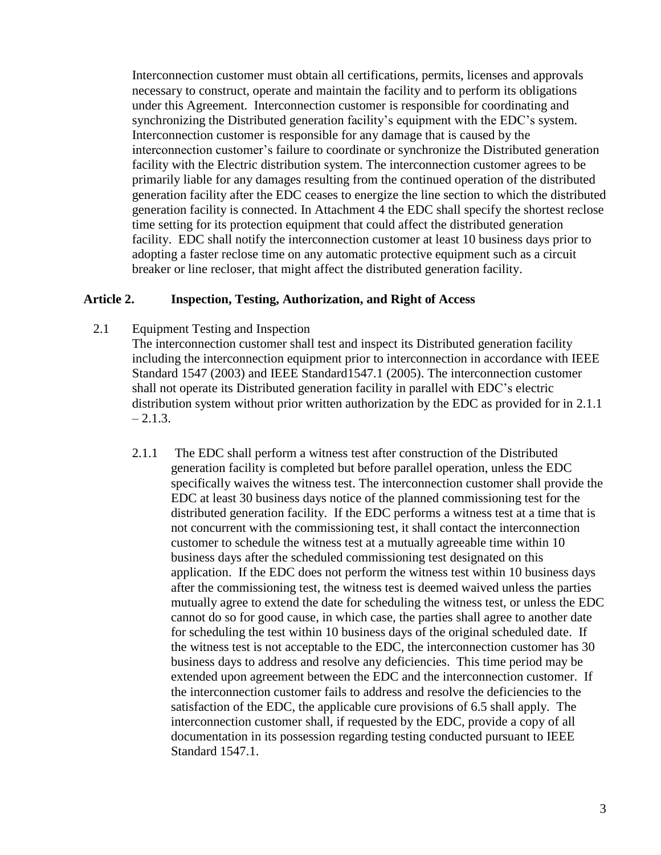Interconnection customer must obtain all certifications, permits, licenses and approvals necessary to construct, operate and maintain the facility and to perform its obligations under this Agreement. Interconnection customer is responsible for coordinating and synchronizing the Distributed generation facility's equipment with the EDC's system. Interconnection customer is responsible for any damage that is caused by the interconnection customer's failure to coordinate or synchronize the Distributed generation facility with the Electric distribution system. The interconnection customer agrees to be primarily liable for any damages resulting from the continued operation of the distributed generation facility after the EDC ceases to energize the line section to which the distributed generation facility is connected. In Attachment 4 the EDC shall specify the shortest reclose time setting for its protection equipment that could affect the distributed generation facility. EDC shall notify the interconnection customer at least 10 business days prior to adopting a faster reclose time on any automatic protective equipment such as a circuit breaker or line recloser, that might affect the distributed generation facility.

### **Article 2. Inspection, Testing, Authorization, and Right of Access**

2.1 Equipment Testing and Inspection

The interconnection customer shall test and inspect its Distributed generation facility including the interconnection equipment prior to interconnection in accordance with IEEE Standard 1547 (2003) and IEEE Standard1547.1 (2005). The interconnection customer shall not operate its Distributed generation facility in parallel with EDC's electric distribution system without prior written authorization by the EDC as provided for in 2.1.1  $-2.1.3.$ 

2.1.1 The EDC shall perform a witness test after construction of the Distributed generation facility is completed but before parallel operation, unless the EDC specifically waives the witness test. The interconnection customer shall provide the EDC at least 30 business days notice of the planned commissioning test for the distributed generation facility. If the EDC performs a witness test at a time that is not concurrent with the commissioning test, it shall contact the interconnection customer to schedule the witness test at a mutually agreeable time within 10 business days after the scheduled commissioning test designated on this application. If the EDC does not perform the witness test within 10 business days after the commissioning test, the witness test is deemed waived unless the parties mutually agree to extend the date for scheduling the witness test, or unless the EDC cannot do so for good cause, in which case, the parties shall agree to another date for scheduling the test within 10 business days of the original scheduled date. If the witness test is not acceptable to the EDC, the interconnection customer has 30 business days to address and resolve any deficiencies. This time period may be extended upon agreement between the EDC and the interconnection customer. If the interconnection customer fails to address and resolve the deficiencies to the satisfaction of the EDC, the applicable cure provisions of 6.5 shall apply. The interconnection customer shall, if requested by the EDC, provide a copy of all documentation in its possession regarding testing conducted pursuant to IEEE Standard 1547.1.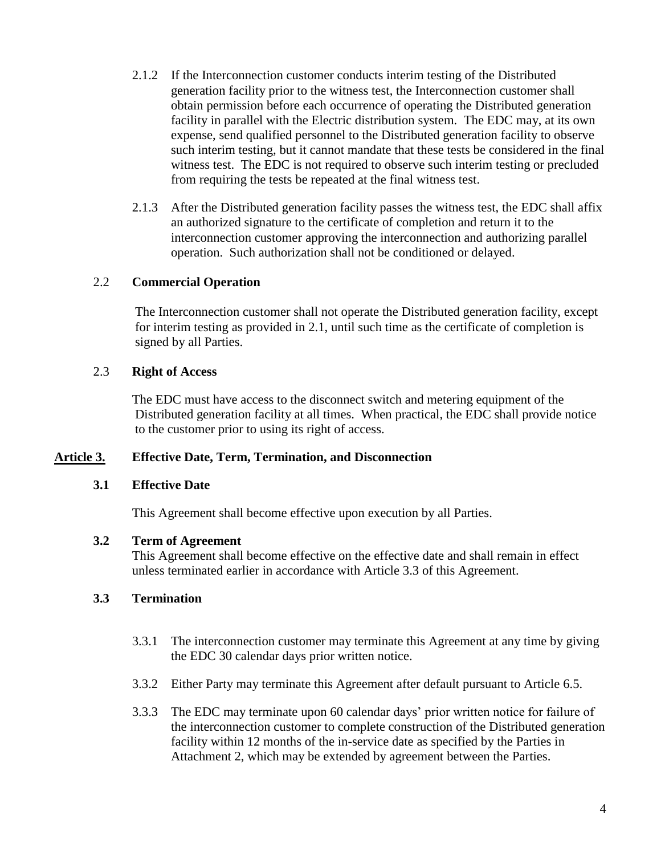- 2.1.2 If the Interconnection customer conducts interim testing of the Distributed generation facility prior to the witness test, the Interconnection customer shall obtain permission before each occurrence of operating the Distributed generation facility in parallel with the Electric distribution system. The EDC may, at its own expense, send qualified personnel to the Distributed generation facility to observe such interim testing, but it cannot mandate that these tests be considered in the final witness test. The EDC is not required to observe such interim testing or precluded from requiring the tests be repeated at the final witness test.
- 2.1.3 After the Distributed generation facility passes the witness test, the EDC shall affix an authorized signature to the certificate of completion and return it to the interconnection customer approving the interconnection and authorizing parallel operation. Such authorization shall not be conditioned or delayed.

### 2.2 **Commercial Operation**

The Interconnection customer shall not operate the Distributed generation facility, except for interim testing as provided in 2.1, until such time as the certificate of completion is signed by all Parties.

### 2.3 **Right of Access**

The EDC must have access to the disconnect switch and metering equipment of the Distributed generation facility at all times. When practical, the EDC shall provide notice to the customer prior to using its right of access.

### **Article 3. Effective Date, Term, Termination, and Disconnection**

### **3.1 Effective Date**

This Agreement shall become effective upon execution by all Parties.

### **3.2 Term of Agreement**

This Agreement shall become effective on the effective date and shall remain in effect unless terminated earlier in accordance with Article 3.3 of this Agreement.

## **3.3 Termination**

- 3.3.1 The interconnection customer may terminate this Agreement at any time by giving the EDC 30 calendar days prior written notice.
- 3.3.2 Either Party may terminate this Agreement after default pursuant to Article 6.5.
- 3.3.3 The EDC may terminate upon 60 calendar days' prior written notice for failure of the interconnection customer to complete construction of the Distributed generation facility within 12 months of the in-service date as specified by the Parties in Attachment 2, which may be extended by agreement between the Parties.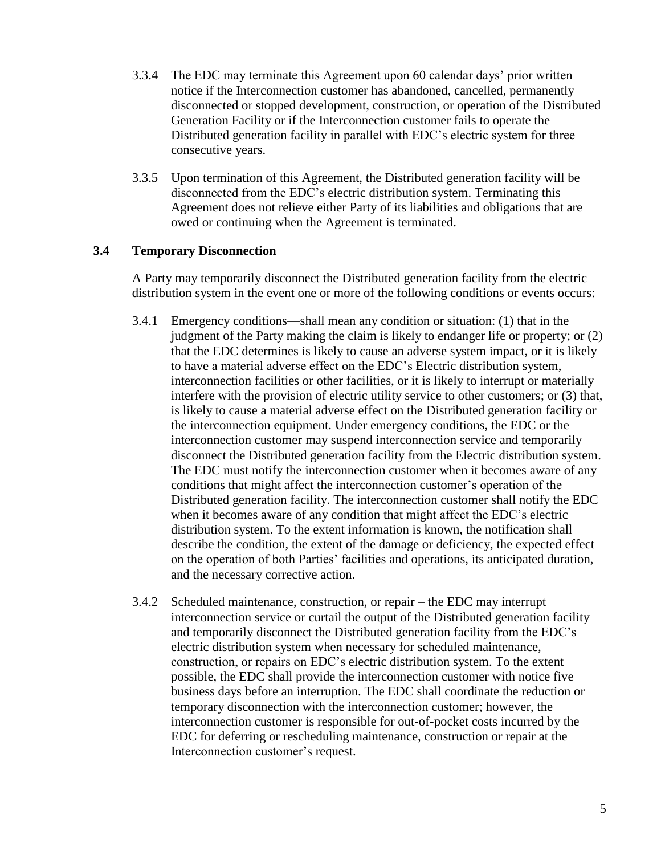- 3.3.4 The EDC may terminate this Agreement upon 60 calendar days' prior written notice if the Interconnection customer has abandoned, cancelled, permanently disconnected or stopped development, construction, or operation of the Distributed Generation Facility or if the Interconnection customer fails to operate the Distributed generation facility in parallel with EDC's electric system for three consecutive years.
- 3.3.5 Upon termination of this Agreement, the Distributed generation facility will be disconnected from the EDC's electric distribution system. Terminating this Agreement does not relieve either Party of its liabilities and obligations that are owed or continuing when the Agreement is terminated.

### **3.4 Temporary Disconnection**

A Party may temporarily disconnect the Distributed generation facility from the electric distribution system in the event one or more of the following conditions or events occurs:

- 3.4.1 Emergency conditions—shall mean any condition or situation: (1) that in the judgment of the Party making the claim is likely to endanger life or property; or (2) that the EDC determines is likely to cause an adverse system impact, or it is likely to have a material adverse effect on the EDC's Electric distribution system, interconnection facilities or other facilities, or it is likely to interrupt or materially interfere with the provision of electric utility service to other customers; or (3) that, is likely to cause a material adverse effect on the Distributed generation facility or the interconnection equipment. Under emergency conditions, the EDC or the interconnection customer may suspend interconnection service and temporarily disconnect the Distributed generation facility from the Electric distribution system. The EDC must notify the interconnection customer when it becomes aware of any conditions that might affect the interconnection customer's operation of the Distributed generation facility. The interconnection customer shall notify the EDC when it becomes aware of any condition that might affect the EDC's electric distribution system. To the extent information is known, the notification shall describe the condition, the extent of the damage or deficiency, the expected effect on the operation of both Parties' facilities and operations, its anticipated duration, and the necessary corrective action.
- 3.4.2 Scheduled maintenance, construction, or repair the EDC may interrupt interconnection service or curtail the output of the Distributed generation facility and temporarily disconnect the Distributed generation facility from the EDC's electric distribution system when necessary for scheduled maintenance, construction, or repairs on EDC's electric distribution system. To the extent possible, the EDC shall provide the interconnection customer with notice five business days before an interruption. The EDC shall coordinate the reduction or temporary disconnection with the interconnection customer; however, the interconnection customer is responsible for out-of-pocket costs incurred by the EDC for deferring or rescheduling maintenance, construction or repair at the Interconnection customer's request.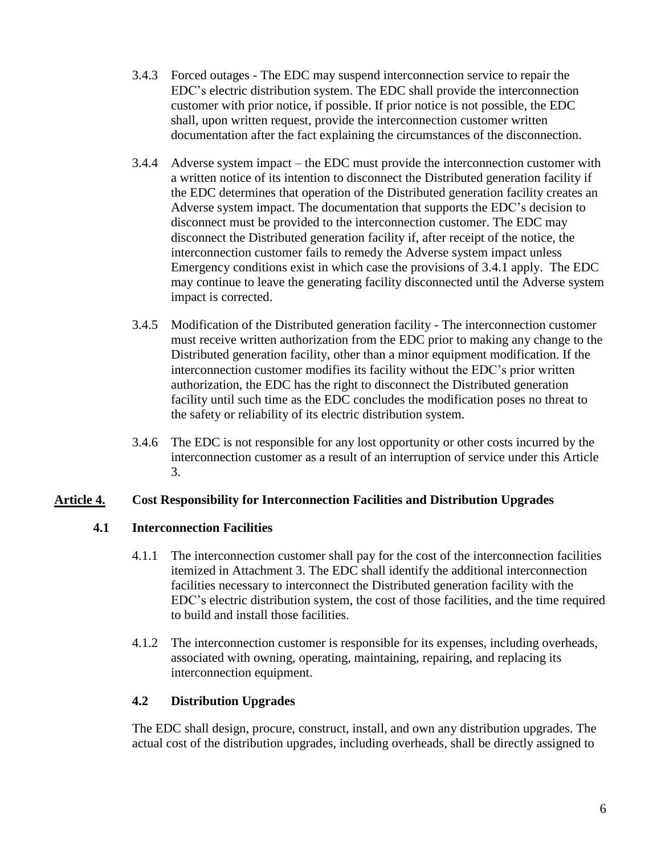- 3.4.3 Forced outages The EDC may suspend interconnection service to repair the EDC's electric distribution system. The EDC shall provide the interconnection customer with prior notice, if possible. If prior notice is not possible, the EDC shall, upon written request, provide the interconnection customer written documentation after the fact explaining the circumstances of the disconnection.
- 3.4.4 Adverse system impact the EDC must provide the interconnection customer with a written notice of its intention to disconnect the Distributed generation facility if the EDC determines that operation of the Distributed generation facility creates an Adverse system impact. The documentation that supports the EDC's decision to disconnect must be provided to the interconnection customer. The EDC may disconnect the Distributed generation facility if, after receipt of the notice, the interconnection customer fails to remedy the Adverse system impact unless Emergency conditions exist in which case the provisions of 3.4.1 apply. The EDC may continue to leave the generating facility disconnected until the Adverse system impact is corrected.
- 3.4.5 Modification of the Distributed generation facility The interconnection customer must receive written authorization from the EDC prior to making any change to the Distributed generation facility, other than a minor equipment modification. If the interconnection customer modifies its facility without the EDC's prior written authorization, the EDC has the right to disconnect the Distributed generation facility until such time as the EDC concludes the modification poses no threat to the safety or reliability of its electric distribution system.
- 3.4.6 The EDC is not responsible for any lost opportunity or other costs incurred by the interconnection customer as a result of an interruption of service under this Article 3.

## **Article 4. Cost Responsibility for Interconnection Facilities and Distribution Upgrades**

## **4.1 Interconnection Facilities**

- 4.1.1 The interconnection customer shall pay for the cost of the interconnection facilities itemized in Attachment 3. The EDC shall identify the additional interconnection facilities necessary to interconnect the Distributed generation facility with the EDC's electric distribution system, the cost of those facilities, and the time required to build and install those facilities.
- 4.1.2 The interconnection customer is responsible for its expenses, including overheads, associated with owning, operating, maintaining, repairing, and replacing its interconnection equipment.

## **4.2 Distribution Upgrades**

The EDC shall design, procure, construct, install, and own any distribution upgrades. The actual cost of the distribution upgrades, including overheads, shall be directly assigned to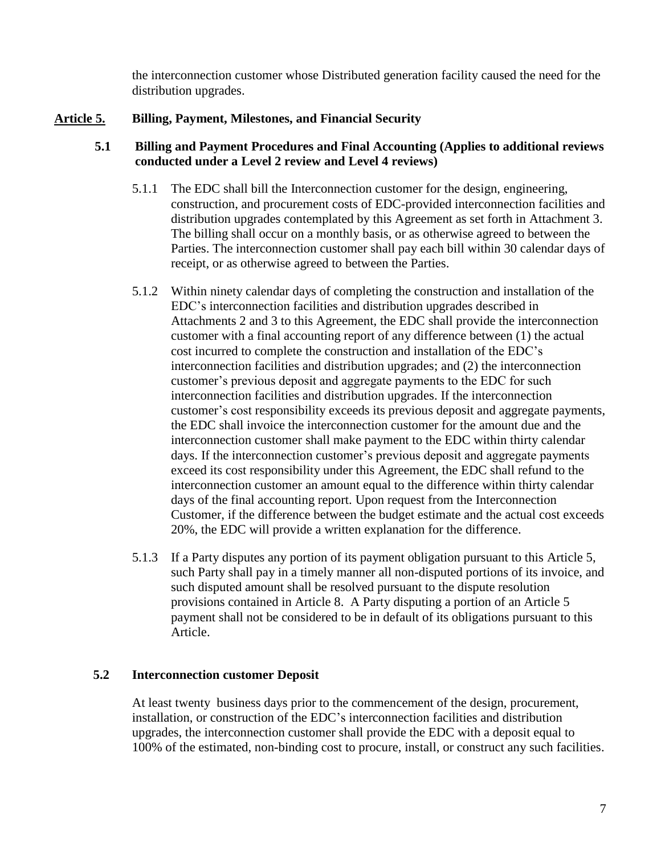the interconnection customer whose Distributed generation facility caused the need for the distribution upgrades.

## **Article 5. Billing, Payment, Milestones, and Financial Security**

## **5.1 Billing and Payment Procedures and Final Accounting (Applies to additional reviews conducted under a Level 2 review and Level 4 reviews)**

- 5.1.1 The EDC shall bill the Interconnection customer for the design, engineering, construction, and procurement costs of EDC-provided interconnection facilities and distribution upgrades contemplated by this Agreement as set forth in Attachment 3. The billing shall occur on a monthly basis, or as otherwise agreed to between the Parties. The interconnection customer shall pay each bill within 30 calendar days of receipt, or as otherwise agreed to between the Parties.
- 5.1.2 Within ninety calendar days of completing the construction and installation of the EDC's interconnection facilities and distribution upgrades described in Attachments 2 and 3 to this Agreement, the EDC shall provide the interconnection customer with a final accounting report of any difference between (1) the actual cost incurred to complete the construction and installation of the EDC's interconnection facilities and distribution upgrades; and (2) the interconnection customer's previous deposit and aggregate payments to the EDC for such interconnection facilities and distribution upgrades. If the interconnection customer's cost responsibility exceeds its previous deposit and aggregate payments, the EDC shall invoice the interconnection customer for the amount due and the interconnection customer shall make payment to the EDC within thirty calendar days. If the interconnection customer's previous deposit and aggregate payments exceed its cost responsibility under this Agreement, the EDC shall refund to the interconnection customer an amount equal to the difference within thirty calendar days of the final accounting report. Upon request from the Interconnection Customer, if the difference between the budget estimate and the actual cost exceeds 20%, the EDC will provide a written explanation for the difference.
- 5.1.3 If a Party disputes any portion of its payment obligation pursuant to this Article 5, such Party shall pay in a timely manner all non-disputed portions of its invoice, and such disputed amount shall be resolved pursuant to the dispute resolution provisions contained in Article 8. A Party disputing a portion of an Article 5 payment shall not be considered to be in default of its obligations pursuant to this Article.

## **5.2 Interconnection customer Deposit**

At least twenty business days prior to the commencement of the design, procurement, installation, or construction of the EDC's interconnection facilities and distribution upgrades, the interconnection customer shall provide the EDC with a deposit equal to 100% of the estimated, non-binding cost to procure, install, or construct any such facilities.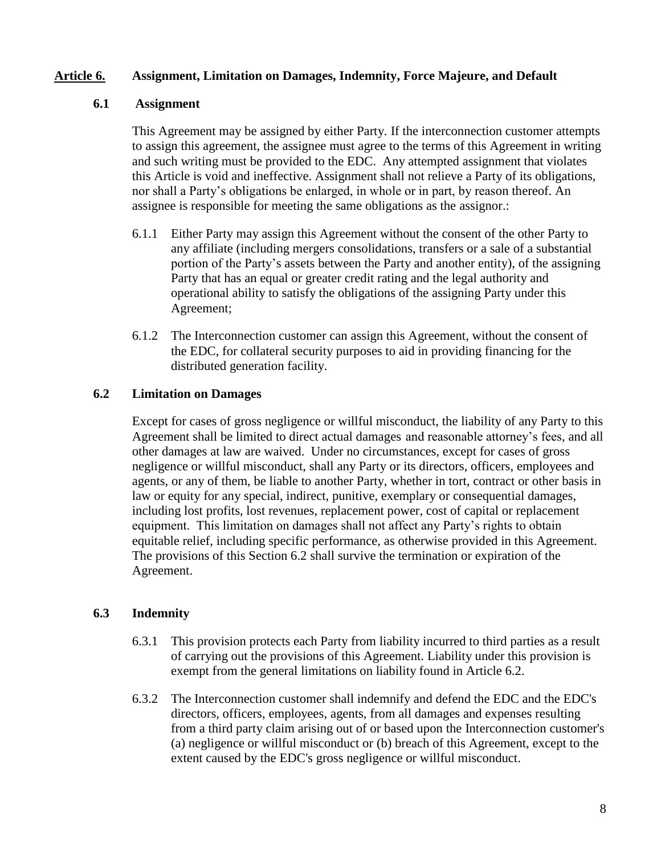### **Article 6. Assignment, Limitation on Damages, Indemnity, Force Majeure, and Default**

### **6.1 Assignment**

This Agreement may be assigned by either Party. If the interconnection customer attempts to assign this agreement, the assignee must agree to the terms of this Agreement in writing and such writing must be provided to the EDC. Any attempted assignment that violates this Article is void and ineffective. Assignment shall not relieve a Party of its obligations, nor shall a Party's obligations be enlarged, in whole or in part, by reason thereof. An assignee is responsible for meeting the same obligations as the assignor.:

- 6.1.1 Either Party may assign this Agreement without the consent of the other Party to any affiliate (including mergers consolidations, transfers or a sale of a substantial portion of the Party's assets between the Party and another entity), of the assigning Party that has an equal or greater credit rating and the legal authority and operational ability to satisfy the obligations of the assigning Party under this Agreement;
- 6.1.2 The Interconnection customer can assign this Agreement, without the consent of the EDC, for collateral security purposes to aid in providing financing for the distributed generation facility.

## **6.2 Limitation on Damages**

Except for cases of gross negligence or willful misconduct, the liability of any Party to this Agreement shall be limited to direct actual damages and reasonable attorney's fees, and all other damages at law are waived. Under no circumstances, except for cases of gross negligence or willful misconduct, shall any Party or its directors, officers, employees and agents, or any of them, be liable to another Party, whether in tort, contract or other basis in law or equity for any special, indirect, punitive, exemplary or consequential damages, including lost profits, lost revenues, replacement power, cost of capital or replacement equipment. This limitation on damages shall not affect any Party's rights to obtain equitable relief, including specific performance, as otherwise provided in this Agreement. The provisions of this Section 6.2 shall survive the termination or expiration of the Agreement.

## **6.3 Indemnity**

- 6.3.1 This provision protects each Party from liability incurred to third parties as a result of carrying out the provisions of this Agreement. Liability under this provision is exempt from the general limitations on liability found in Article 6.2.
- 6.3.2 The Interconnection customer shall indemnify and defend the EDC and the EDC's directors, officers, employees, agents, from all damages and expenses resulting from a third party claim arising out of or based upon the Interconnection customer's (a) negligence or willful misconduct or (b) breach of this Agreement, except to the extent caused by the EDC's gross negligence or willful misconduct.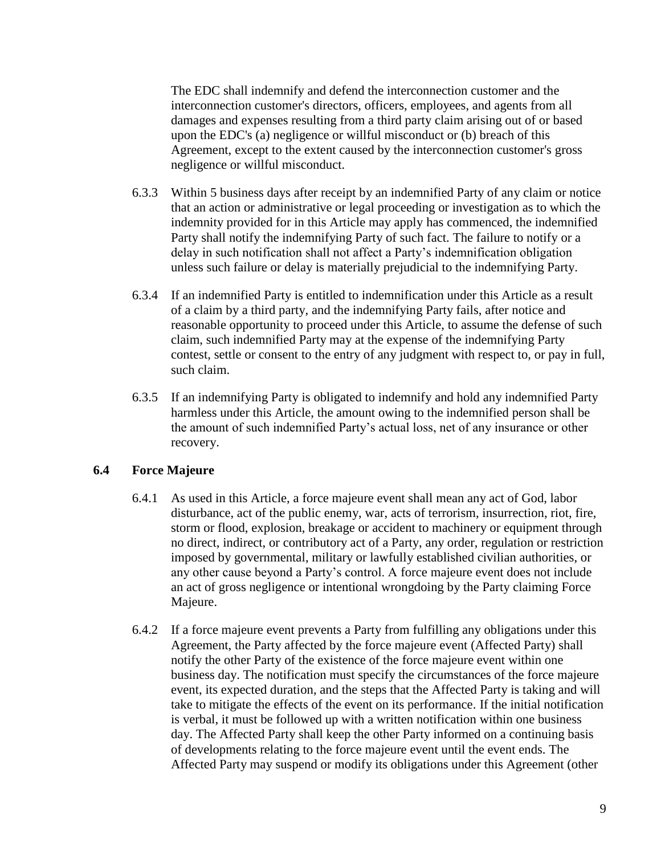The EDC shall indemnify and defend the interconnection customer and the interconnection customer's directors, officers, employees, and agents from all damages and expenses resulting from a third party claim arising out of or based upon the EDC's (a) negligence or willful misconduct or (b) breach of this Agreement, except to the extent caused by the interconnection customer's gross negligence or willful misconduct.

- 6.3.3 Within 5 business days after receipt by an indemnified Party of any claim or notice that an action or administrative or legal proceeding or investigation as to which the indemnity provided for in this Article may apply has commenced, the indemnified Party shall notify the indemnifying Party of such fact. The failure to notify or a delay in such notification shall not affect a Party's indemnification obligation unless such failure or delay is materially prejudicial to the indemnifying Party.
- 6.3.4 If an indemnified Party is entitled to indemnification under this Article as a result of a claim by a third party, and the indemnifying Party fails, after notice and reasonable opportunity to proceed under this Article, to assume the defense of such claim, such indemnified Party may at the expense of the indemnifying Party contest, settle or consent to the entry of any judgment with respect to, or pay in full, such claim.
- 6.3.5 If an indemnifying Party is obligated to indemnify and hold any indemnified Party harmless under this Article, the amount owing to the indemnified person shall be the amount of such indemnified Party's actual loss, net of any insurance or other recovery.

## **6.4 Force Majeure**

- 6.4.1 As used in this Article, a force majeure event shall mean any act of God, labor disturbance, act of the public enemy, war, acts of terrorism, insurrection, riot, fire, storm or flood, explosion, breakage or accident to machinery or equipment through no direct, indirect, or contributory act of a Party, any order, regulation or restriction imposed by governmental, military or lawfully established civilian authorities, or any other cause beyond a Party's control. A force majeure event does not include an act of gross negligence or intentional wrongdoing by the Party claiming Force Majeure.
- 6.4.2 If a force majeure event prevents a Party from fulfilling any obligations under this Agreement, the Party affected by the force majeure event (Affected Party) shall notify the other Party of the existence of the force majeure event within one business day. The notification must specify the circumstances of the force majeure event, its expected duration, and the steps that the Affected Party is taking and will take to mitigate the effects of the event on its performance. If the initial notification is verbal, it must be followed up with a written notification within one business day. The Affected Party shall keep the other Party informed on a continuing basis of developments relating to the force majeure event until the event ends. The Affected Party may suspend or modify its obligations under this Agreement (other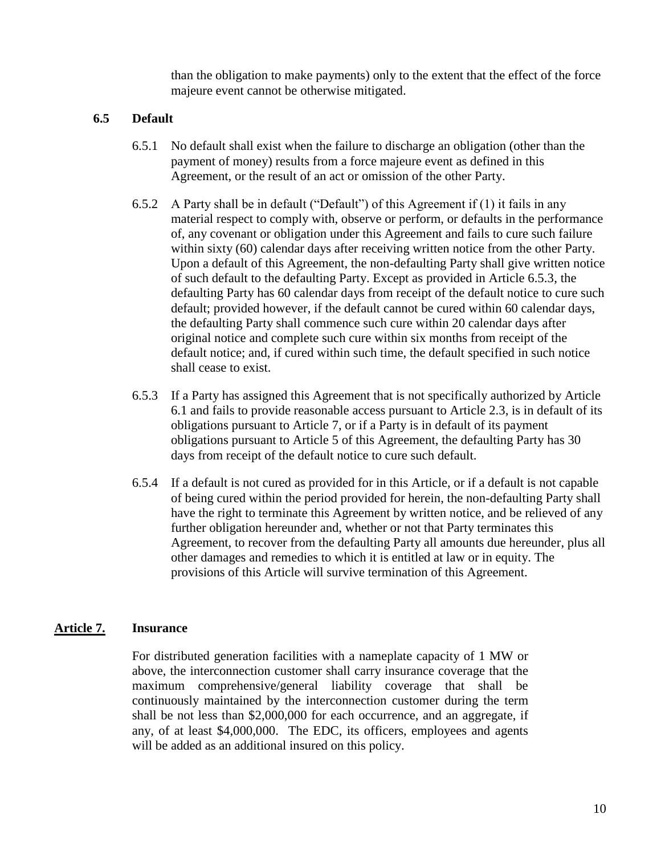than the obligation to make payments) only to the extent that the effect of the force majeure event cannot be otherwise mitigated.

### **6.5 Default**

- 6.5.1 No default shall exist when the failure to discharge an obligation (other than the payment of money) results from a force majeure event as defined in this Agreement, or the result of an act or omission of the other Party.
- 6.5.2 A Party shall be in default ("Default") of this Agreement if (1) it fails in any material respect to comply with, observe or perform, or defaults in the performance of, any covenant or obligation under this Agreement and fails to cure such failure within sixty (60) calendar days after receiving written notice from the other Party. Upon a default of this Agreement, the non-defaulting Party shall give written notice of such default to the defaulting Party. Except as provided in Article 6.5.3, the defaulting Party has 60 calendar days from receipt of the default notice to cure such default; provided however, if the default cannot be cured within 60 calendar days, the defaulting Party shall commence such cure within 20 calendar days after original notice and complete such cure within six months from receipt of the default notice; and, if cured within such time, the default specified in such notice shall cease to exist.
- 6.5.3 If a Party has assigned this Agreement that is not specifically authorized by Article 6.1 and fails to provide reasonable access pursuant to Article 2.3, is in default of its obligations pursuant to Article 7, or if a Party is in default of its payment obligations pursuant to Article 5 of this Agreement, the defaulting Party has 30 days from receipt of the default notice to cure such default.
- 6.5.4 If a default is not cured as provided for in this Article, or if a default is not capable of being cured within the period provided for herein, the non-defaulting Party shall have the right to terminate this Agreement by written notice, and be relieved of any further obligation hereunder and, whether or not that Party terminates this Agreement, to recover from the defaulting Party all amounts due hereunder, plus all other damages and remedies to which it is entitled at law or in equity. The provisions of this Article will survive termination of this Agreement.

### **Article 7. Insurance**

For distributed generation facilities with a nameplate capacity of 1 MW or above, the interconnection customer shall carry insurance coverage that the maximum comprehensive/general liability coverage that shall be continuously maintained by the interconnection customer during the term shall be not less than \$2,000,000 for each occurrence, and an aggregate, if any, of at least \$4,000,000. The EDC, its officers, employees and agents will be added as an additional insured on this policy.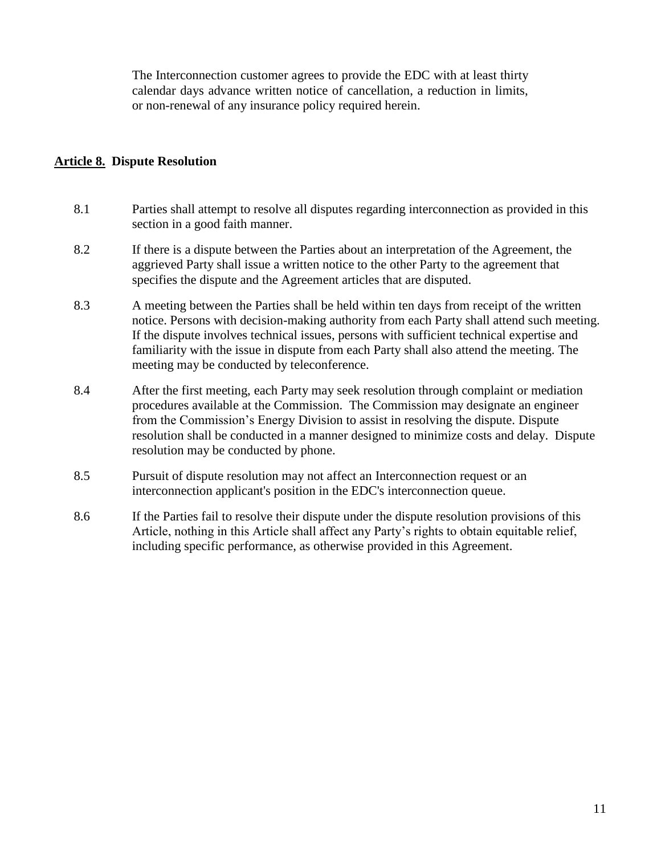The Interconnection customer agrees to provide the EDC with at least thirty calendar days advance written notice of cancellation, a reduction in limits, or non-renewal of any insurance policy required herein.

### **Article 8. Dispute Resolution**

- 8.1 Parties shall attempt to resolve all disputes regarding interconnection as provided in this section in a good faith manner.
- 8.2 If there is a dispute between the Parties about an interpretation of the Agreement, the aggrieved Party shall issue a written notice to the other Party to the agreement that specifies the dispute and the Agreement articles that are disputed.
- 8.3 A meeting between the Parties shall be held within ten days from receipt of the written notice. Persons with decision-making authority from each Party shall attend such meeting. If the dispute involves technical issues, persons with sufficient technical expertise and familiarity with the issue in dispute from each Party shall also attend the meeting. The meeting may be conducted by teleconference.
- 8.4 After the first meeting, each Party may seek resolution through complaint or mediation procedures available at the Commission. The Commission may designate an engineer from the Commission's Energy Division to assist in resolving the dispute. Dispute resolution shall be conducted in a manner designed to minimize costs and delay. Dispute resolution may be conducted by phone.
- 8.5 Pursuit of dispute resolution may not affect an Interconnection request or an interconnection applicant's position in the EDC's interconnection queue.
- 8.6 If the Parties fail to resolve their dispute under the dispute resolution provisions of this Article, nothing in this Article shall affect any Party's rights to obtain equitable relief, including specific performance, as otherwise provided in this Agreement.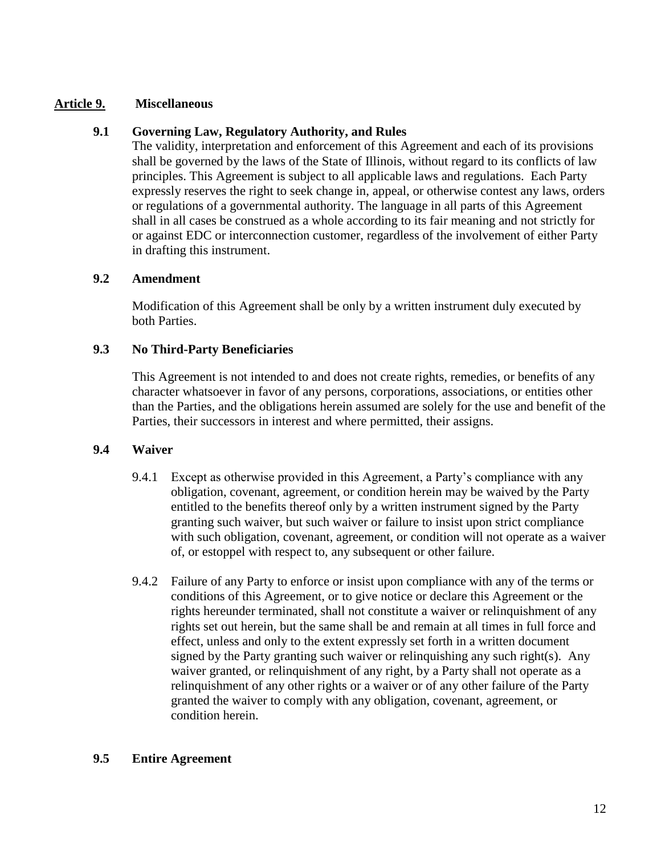### **Article 9. Miscellaneous**

## **9.1 Governing Law, Regulatory Authority, and Rules**

The validity, interpretation and enforcement of this Agreement and each of its provisions shall be governed by the laws of the State of Illinois, without regard to its conflicts of law principles. This Agreement is subject to all applicable laws and regulations. Each Party expressly reserves the right to seek change in, appeal, or otherwise contest any laws, orders or regulations of a governmental authority. The language in all parts of this Agreement shall in all cases be construed as a whole according to its fair meaning and not strictly for or against EDC or interconnection customer, regardless of the involvement of either Party in drafting this instrument.

### **9.2 Amendment**

Modification of this Agreement shall be only by a written instrument duly executed by both Parties.

## **9.3 No Third-Party Beneficiaries**

This Agreement is not intended to and does not create rights, remedies, or benefits of any character whatsoever in favor of any persons, corporations, associations, or entities other than the Parties, and the obligations herein assumed are solely for the use and benefit of the Parties, their successors in interest and where permitted, their assigns.

## **9.4 Waiver**

- 9.4.1 Except as otherwise provided in this Agreement, a Party's compliance with any obligation, covenant, agreement, or condition herein may be waived by the Party entitled to the benefits thereof only by a written instrument signed by the Party granting such waiver, but such waiver or failure to insist upon strict compliance with such obligation, covenant, agreement, or condition will not operate as a waiver of, or estoppel with respect to, any subsequent or other failure.
- 9.4.2 Failure of any Party to enforce or insist upon compliance with any of the terms or conditions of this Agreement, or to give notice or declare this Agreement or the rights hereunder terminated, shall not constitute a waiver or relinquishment of any rights set out herein, but the same shall be and remain at all times in full force and effect, unless and only to the extent expressly set forth in a written document signed by the Party granting such waiver or relinquishing any such right(s). Any waiver granted, or relinquishment of any right, by a Party shall not operate as a relinquishment of any other rights or a waiver or of any other failure of the Party granted the waiver to comply with any obligation, covenant, agreement, or condition herein.

### **9.5 Entire Agreement**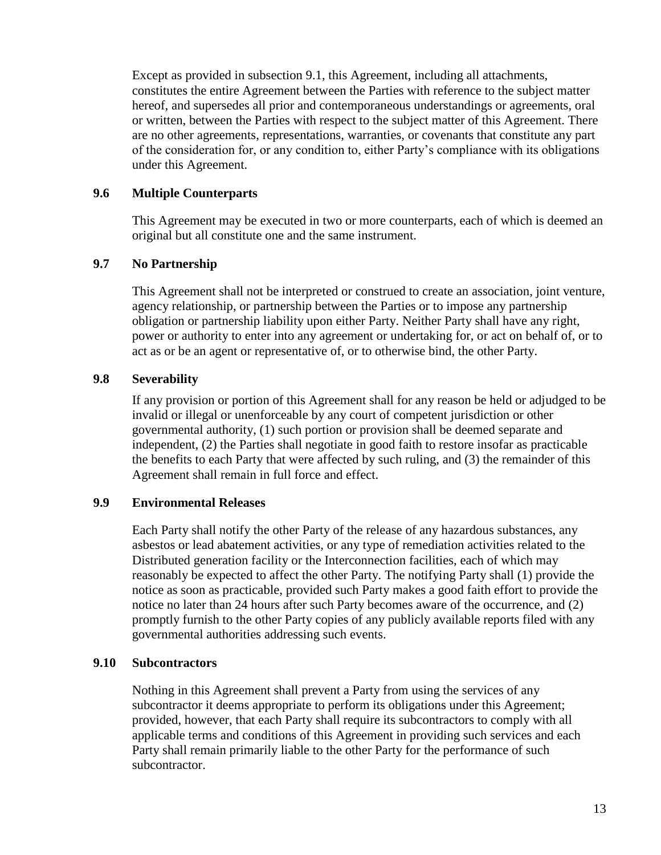Except as provided in subsection 9.1, this Agreement, including all attachments, constitutes the entire Agreement between the Parties with reference to the subject matter hereof, and supersedes all prior and contemporaneous understandings or agreements, oral or written, between the Parties with respect to the subject matter of this Agreement. There are no other agreements, representations, warranties, or covenants that constitute any part of the consideration for, or any condition to, either Party's compliance with its obligations under this Agreement.

### **9.6 Multiple Counterparts**

This Agreement may be executed in two or more counterparts, each of which is deemed an original but all constitute one and the same instrument.

### **9.7 No Partnership**

This Agreement shall not be interpreted or construed to create an association, joint venture, agency relationship, or partnership between the Parties or to impose any partnership obligation or partnership liability upon either Party. Neither Party shall have any right, power or authority to enter into any agreement or undertaking for, or act on behalf of, or to act as or be an agent or representative of, or to otherwise bind, the other Party.

### **9.8 Severability**

If any provision or portion of this Agreement shall for any reason be held or adjudged to be invalid or illegal or unenforceable by any court of competent jurisdiction or other governmental authority, (1) such portion or provision shall be deemed separate and independent, (2) the Parties shall negotiate in good faith to restore insofar as practicable the benefits to each Party that were affected by such ruling, and (3) the remainder of this Agreement shall remain in full force and effect.

### **9.9 Environmental Releases**

Each Party shall notify the other Party of the release of any hazardous substances, any asbestos or lead abatement activities, or any type of remediation activities related to the Distributed generation facility or the Interconnection facilities, each of which may reasonably be expected to affect the other Party. The notifying Party shall (1) provide the notice as soon as practicable, provided such Party makes a good faith effort to provide the notice no later than 24 hours after such Party becomes aware of the occurrence, and (2) promptly furnish to the other Party copies of any publicly available reports filed with any governmental authorities addressing such events.

### **9.10 Subcontractors**

Nothing in this Agreement shall prevent a Party from using the services of any subcontractor it deems appropriate to perform its obligations under this Agreement; provided, however, that each Party shall require its subcontractors to comply with all applicable terms and conditions of this Agreement in providing such services and each Party shall remain primarily liable to the other Party for the performance of such subcontractor.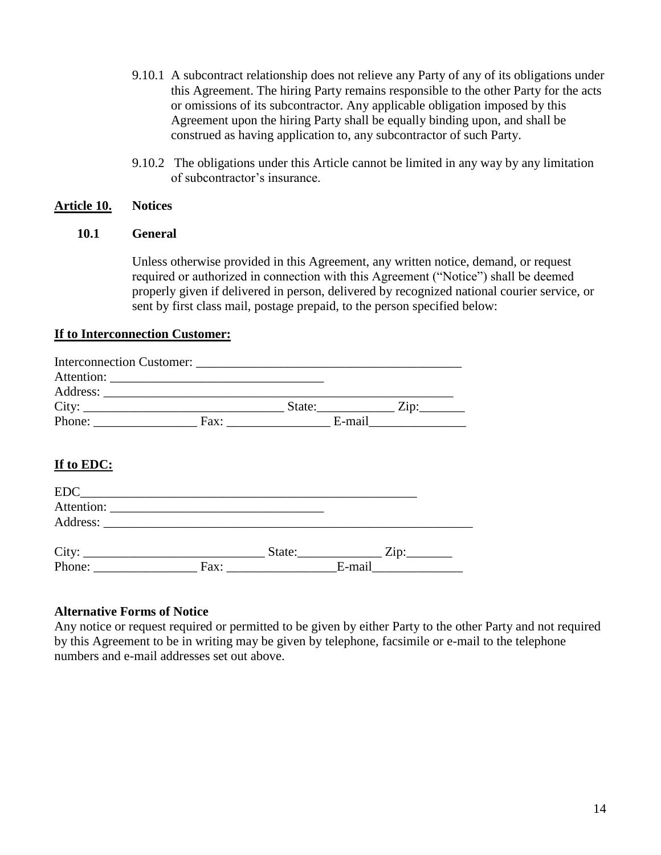- 9.10.1 A subcontract relationship does not relieve any Party of any of its obligations under this Agreement. The hiring Party remains responsible to the other Party for the acts or omissions of its subcontractor. Any applicable obligation imposed by this Agreement upon the hiring Party shall be equally binding upon, and shall be construed as having application to, any subcontractor of such Party.
- 9.10.2 The obligations under this Article cannot be limited in any way by any limitation of subcontractor's insurance.

### **Article 10. Notices**

### **10.1 General**

Unless otherwise provided in this Agreement, any written notice, demand, or request required or authorized in connection with this Agreement ("Notice") shall be deemed properly given if delivered in person, delivered by recognized national courier service, or sent by first class mail, postage prepaid, to the person specified below:

### **If to Interconnection Customer:**

|        | Interconnection Customer: |      |        |        |                 |
|--------|---------------------------|------|--------|--------|-----------------|
|        |                           |      |        |        |                 |
|        | Address:                  |      |        |        |                 |
|        | City:                     |      | State: |        | $\mathsf{Zip:}$ |
| Phone: |                           | Fax: |        | E-mail |                 |

## **If to EDC:**

| EDC                                                                    |      |        |        |                 |  |
|------------------------------------------------------------------------|------|--------|--------|-----------------|--|
| Attention:<br><u> 1980 - Jan Stein, amerikansk politiker (d. 1980)</u> |      |        |        |                 |  |
|                                                                        |      |        |        |                 |  |
|                                                                        |      | State: |        | $\mathrm{Zip:}$ |  |
| City: <u>City:</u> Fa                                                  | Fax: |        | E-mail |                 |  |

### **Alternative Forms of Notice**

Any notice or request required or permitted to be given by either Party to the other Party and not required by this Agreement to be in writing may be given by telephone, facsimile or e-mail to the telephone numbers and e-mail addresses set out above.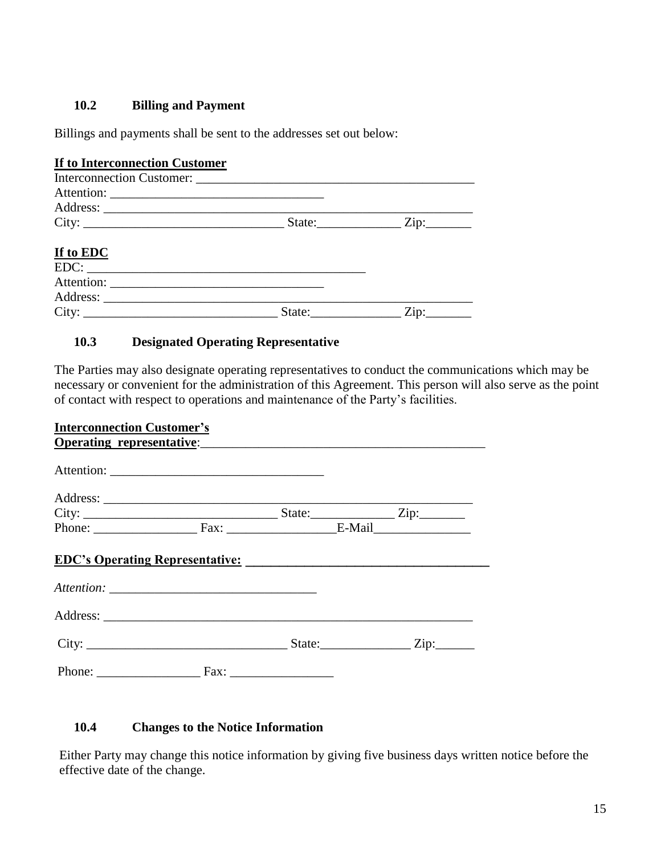## **10.2 Billing and Payment**

Billings and payments shall be sent to the addresses set out below:

## **If to Interconnection Customer**

| City:     |        | State: $\frac{Zip:\_\_\_\_\_\_Z}{Zip:\_\_\_\_\_\_\_Z}$ |
|-----------|--------|--------------------------------------------------------|
| If to EDC |        |                                                        |
|           | EDC:   |                                                        |
|           |        |                                                        |
|           |        |                                                        |
| City:     | State: | Zip:                                                   |

# **10.3 Designated Operating Representative**

The Parties may also designate operating representatives to conduct the communications which may be necessary or convenient for the administration of this Agreement. This person will also serve as the point of contact with respect to operations and maintenance of the Party's facilities.

| <b>Interconnection Customer's</b> |                                  |  |  |
|-----------------------------------|----------------------------------|--|--|
|                                   | <b>Operating representative:</b> |  |  |
|                                   |                                  |  |  |
|                                   |                                  |  |  |
|                                   |                                  |  |  |
|                                   | Phone: Fax: Fax: E-Mail          |  |  |
|                                   |                                  |  |  |
|                                   |                                  |  |  |
|                                   |                                  |  |  |
|                                   |                                  |  |  |

## **10.4 Changes to the Notice Information**

Either Party may change this notice information by giving five business days written notice before the effective date of the change.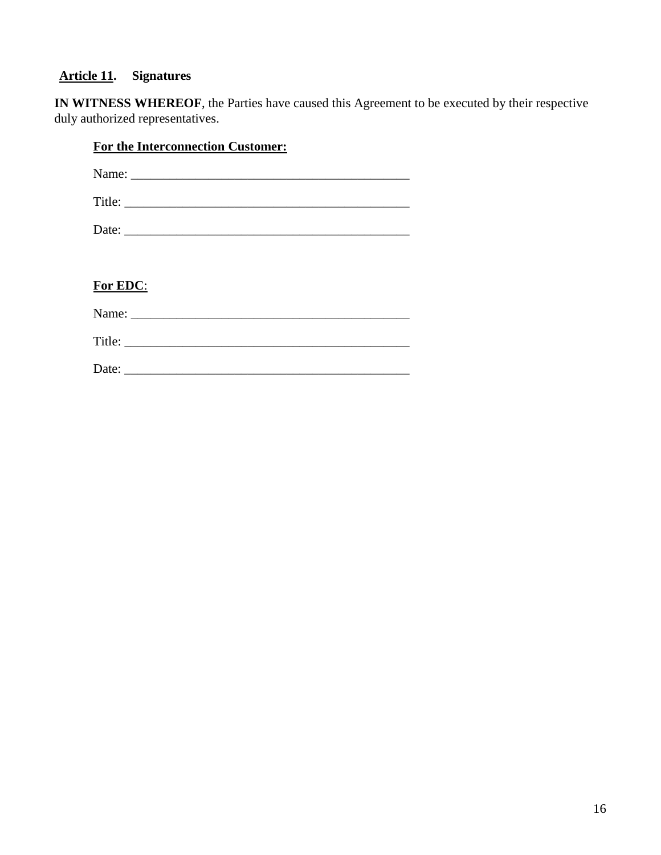# **Article 11. Signatures**

**IN WITNESS WHEREOF**, the Parties have caused this Agreement to be executed by their respective duly authorized representatives.

| For the Interconnection Customer: |
|-----------------------------------|
| Name:                             |
|                                   |
|                                   |
|                                   |
| For EDC:                          |
|                                   |
|                                   |
|                                   |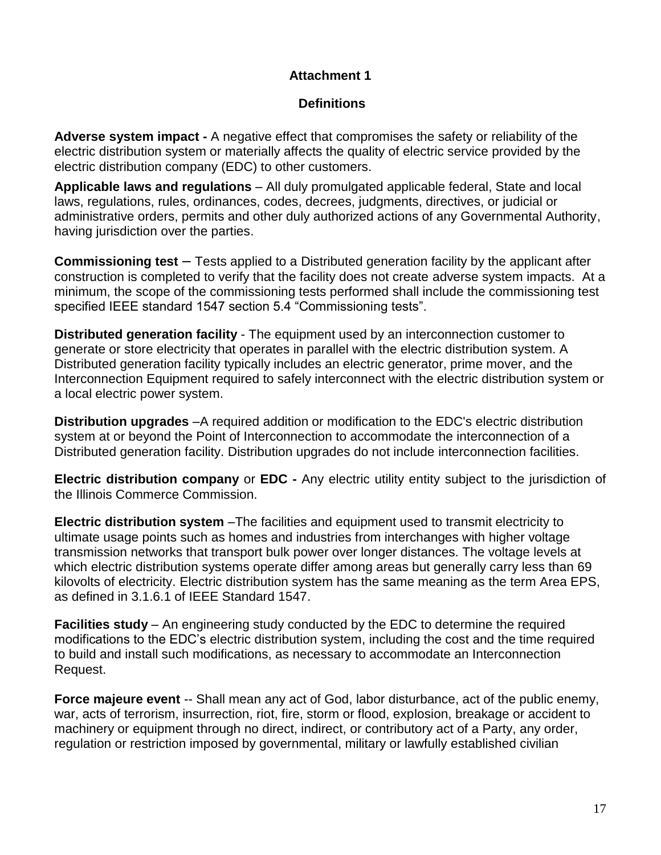# **Definitions**

**Adverse system impact -** A negative effect that compromises the safety or reliability of the electric distribution system or materially affects the quality of electric service provided by the electric distribution company (EDC) to other customers.

**Applicable laws and regulations** – All duly promulgated applicable federal, State and local laws, regulations, rules, ordinances, codes, decrees, judgments, directives, or judicial or administrative orders, permits and other duly authorized actions of any Governmental Authority, having jurisdiction over the parties.

**Commissioning test** *–* Tests applied to a Distributed generation facility by the applicant after construction is completed to verify that the facility does not create adverse system impacts. At a minimum, the scope of the commissioning tests performed shall include the commissioning test specified IEEE standard 1547 section 5.4 "Commissioning tests".

**Distributed generation facility** - The equipment used by an interconnection customer to generate or store electricity that operates in parallel with the electric distribution system. A Distributed generation facility typically includes an electric generator, prime mover, and the Interconnection Equipment required to safely interconnect with the electric distribution system or a local electric power system.

**Distribution upgrades** –A required addition or modification to the EDC's electric distribution system at or beyond the Point of Interconnection to accommodate the interconnection of a Distributed generation facility. Distribution upgrades do not include interconnection facilities.

**Electric distribution company** or **EDC -** Any electric utility entity subject to the jurisdiction of the Illinois Commerce Commission.

**Electric distribution system** –The facilities and equipment used to transmit electricity to ultimate usage points such as homes and industries from interchanges with higher voltage transmission networks that transport bulk power over longer distances. The voltage levels at which electric distribution systems operate differ among areas but generally carry less than 69 kilovolts of electricity. Electric distribution system has the same meaning as the term Area EPS, as defined in 3.1.6.1 of IEEE Standard 1547.

**Facilities study** – An engineering study conducted by the EDC to determine the required modifications to the EDC's electric distribution system, including the cost and the time required to build and install such modifications, as necessary to accommodate an Interconnection Request.

**Force majeure event** -- Shall mean any act of God, labor disturbance, act of the public enemy, war, acts of terrorism, insurrection, riot, fire, storm or flood, explosion, breakage or accident to machinery or equipment through no direct, indirect, or contributory act of a Party, any order, regulation or restriction imposed by governmental, military or lawfully established civilian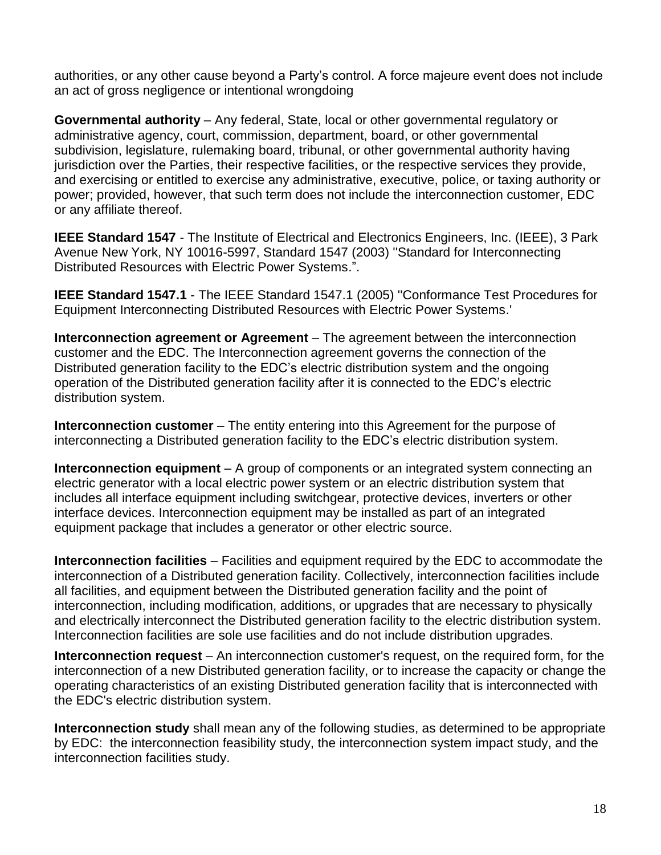authorities, or any other cause beyond a Party's control. A force majeure event does not include an act of gross negligence or intentional wrongdoing

**Governmental authority** – Any federal, State, local or other governmental regulatory or administrative agency, court, commission, department, board, or other governmental subdivision, legislature, rulemaking board, tribunal, or other governmental authority having jurisdiction over the Parties, their respective facilities, or the respective services they provide, and exercising or entitled to exercise any administrative, executive, police, or taxing authority or power; provided, however, that such term does not include the interconnection customer, EDC or any affiliate thereof.

**IEEE Standard 1547** - The Institute of Electrical and Electronics Engineers, Inc. (IEEE), 3 Park Avenue New York, NY 10016-5997, Standard 1547 (2003) ''Standard for Interconnecting Distributed Resources with Electric Power Systems.".

**IEEE Standard 1547.1** - The IEEE Standard 1547.1 (2005) "Conformance Test Procedures for Equipment Interconnecting Distributed Resources with Electric Power Systems.'

**Interconnection agreement or Agreement** – The agreement between the interconnection customer and the EDC. The Interconnection agreement governs the connection of the Distributed generation facility to the EDC's electric distribution system and the ongoing operation of the Distributed generation facility after it is connected to the EDC's electric distribution system.

**Interconnection customer** – The entity entering into this Agreement for the purpose of interconnecting a Distributed generation facility to the EDC's electric distribution system.

**Interconnection equipment** – A group of components or an integrated system connecting an electric generator with a local electric power system or an electric distribution system that includes all interface equipment including switchgear, protective devices, inverters or other interface devices. Interconnection equipment may be installed as part of an integrated equipment package that includes a generator or other electric source.

**Interconnection facilities** – Facilities and equipment required by the EDC to accommodate the interconnection of a Distributed generation facility. Collectively, interconnection facilities include all facilities, and equipment between the Distributed generation facility and the point of interconnection, including modification, additions, or upgrades that are necessary to physically and electrically interconnect the Distributed generation facility to the electric distribution system. Interconnection facilities are sole use facilities and do not include distribution upgrades.

**Interconnection request** – An interconnection customer's request, on the required form, for the interconnection of a new Distributed generation facility, or to increase the capacity or change the operating characteristics of an existing Distributed generation facility that is interconnected with the EDC's electric distribution system.

**Interconnection study** shall mean any of the following studies, as determined to be appropriate by EDC: the interconnection feasibility study, the interconnection system impact study, and the interconnection facilities study.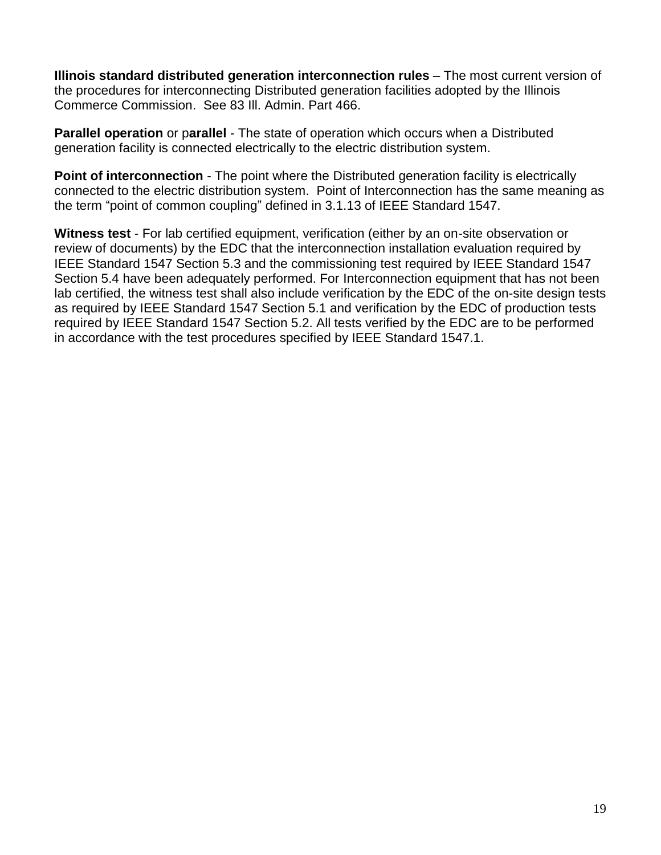**Illinois standard distributed generation interconnection rules** – The most current version of the procedures for interconnecting Distributed generation facilities adopted by the Illinois Commerce Commission. See 83 Ill. Admin. Part 466.

**Parallel operation** or p**arallel** - The state of operation which occurs when a Distributed generation facility is connected electrically to the electric distribution system.

**Point of interconnection** - The point where the Distributed generation facility is electrically connected to the electric distribution system. Point of Interconnection has the same meaning as the term "point of common coupling" defined in 3.1.13 of IEEE Standard 1547.

**Witness test** - For lab certified equipment, verification (either by an on-site observation or review of documents) by the EDC that the interconnection installation evaluation required by IEEE Standard 1547 Section 5.3 and the commissioning test required by IEEE Standard 1547 Section 5.4 have been adequately performed. For Interconnection equipment that has not been lab certified, the witness test shall also include verification by the EDC of the on-site design tests as required by IEEE Standard 1547 Section 5.1 and verification by the EDC of production tests required by IEEE Standard 1547 Section 5.2. All tests verified by the EDC are to be performed in accordance with the test procedures specified by IEEE Standard 1547.1.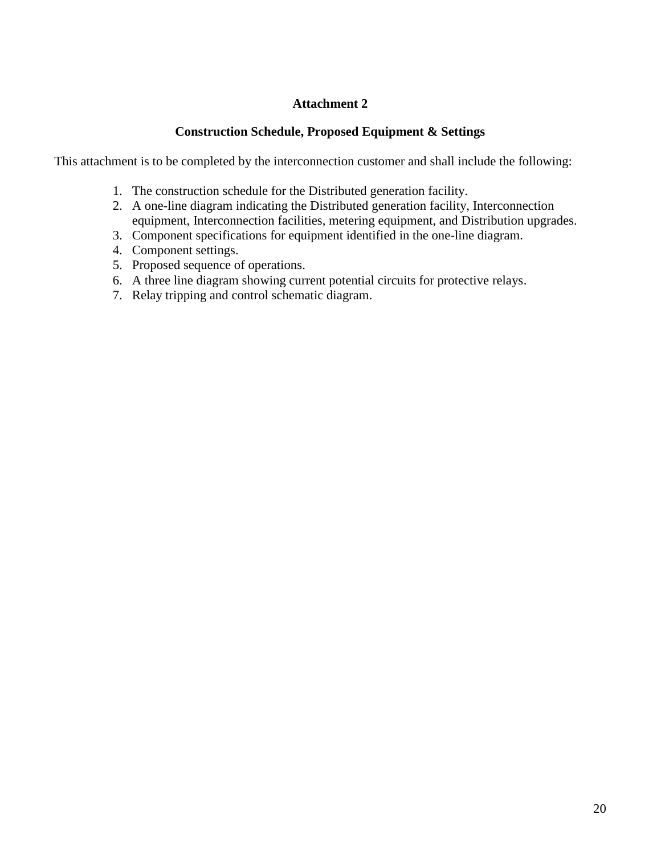## **Construction Schedule, Proposed Equipment & Settings**

This attachment is to be completed by the interconnection customer and shall include the following:

- 1. The construction schedule for the Distributed generation facility.
- 2. A one-line diagram indicating the Distributed generation facility, Interconnection equipment, Interconnection facilities, metering equipment, and Distribution upgrades.
- 3. Component specifications for equipment identified in the one-line diagram.
- 4. Component settings.
- 5. Proposed sequence of operations.
- 6. A three line diagram showing current potential circuits for protective relays.
- 7. Relay tripping and control schematic diagram.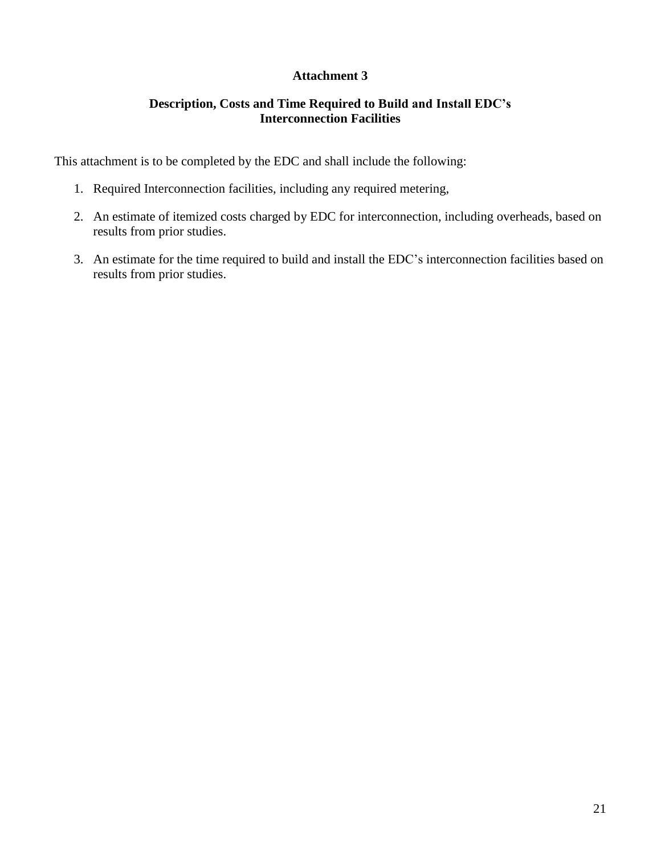# **Description, Costs and Time Required to Build and Install EDC's Interconnection Facilities**

This attachment is to be completed by the EDC and shall include the following:

- 1. Required Interconnection facilities, including any required metering,
- 2. An estimate of itemized costs charged by EDC for interconnection, including overheads, based on results from prior studies.
- 3. An estimate for the time required to build and install the EDC's interconnection facilities based on results from prior studies.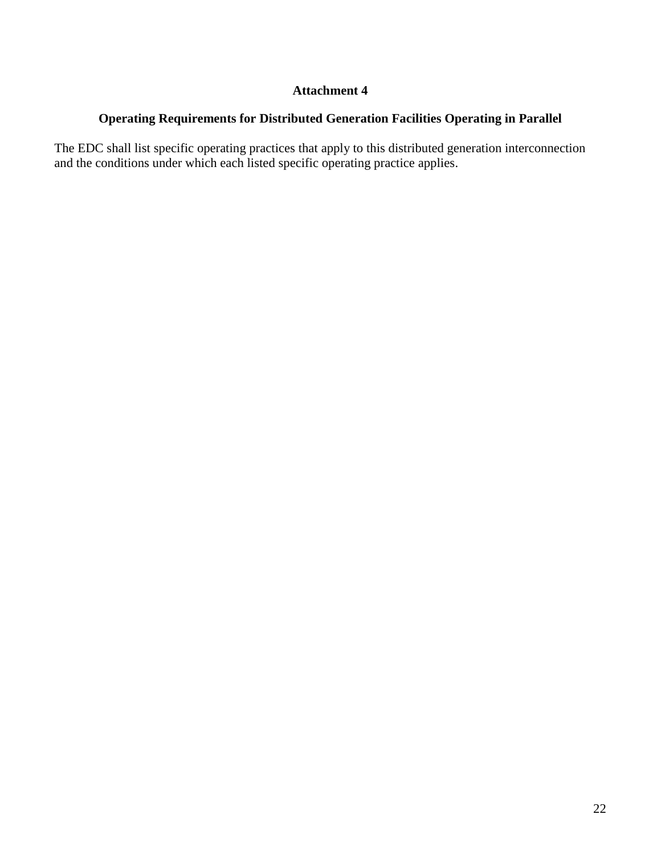# **Operating Requirements for Distributed Generation Facilities Operating in Parallel**

The EDC shall list specific operating practices that apply to this distributed generation interconnection and the conditions under which each listed specific operating practice applies.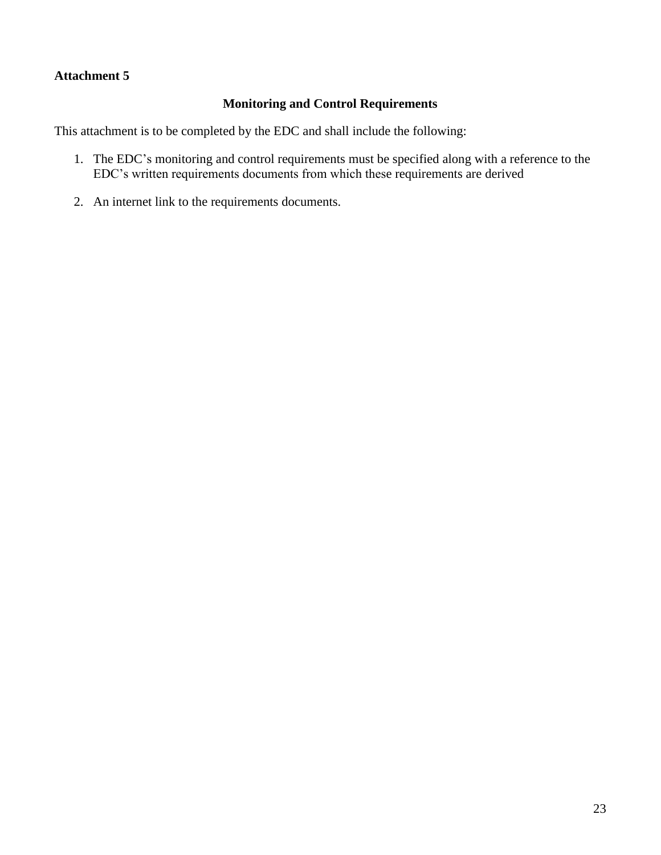# **Monitoring and Control Requirements**

This attachment is to be completed by the EDC and shall include the following:

- 1. The EDC's monitoring and control requirements must be specified along with a reference to the EDC's written requirements documents from which these requirements are derived
- 2. An internet link to the requirements documents.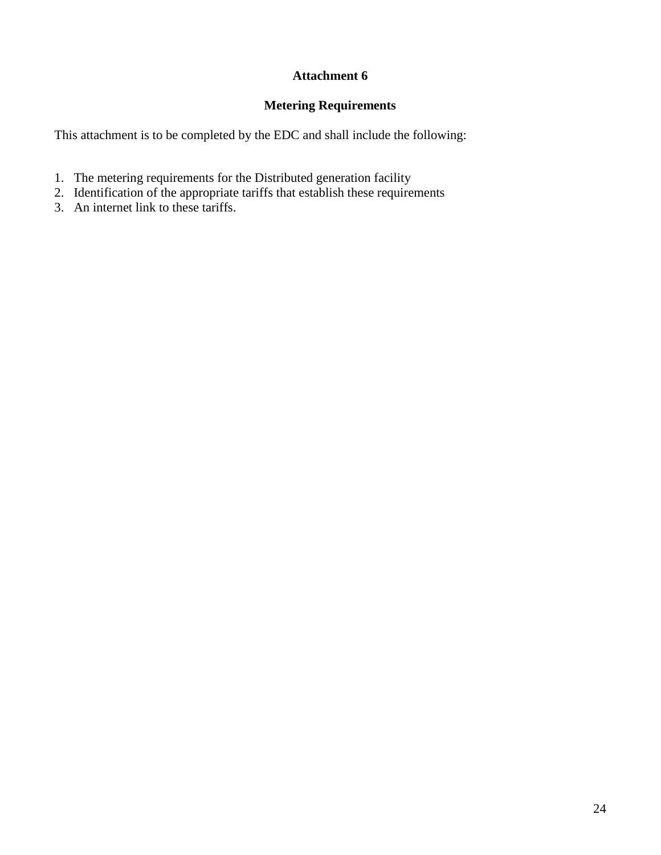# **Metering Requirements**

This attachment is to be completed by the EDC and shall include the following:

- 1. The metering requirements for the Distributed generation facility
- 2. Identification of the appropriate tariffs that establish these requirements
- 3. An internet link to these tariffs.